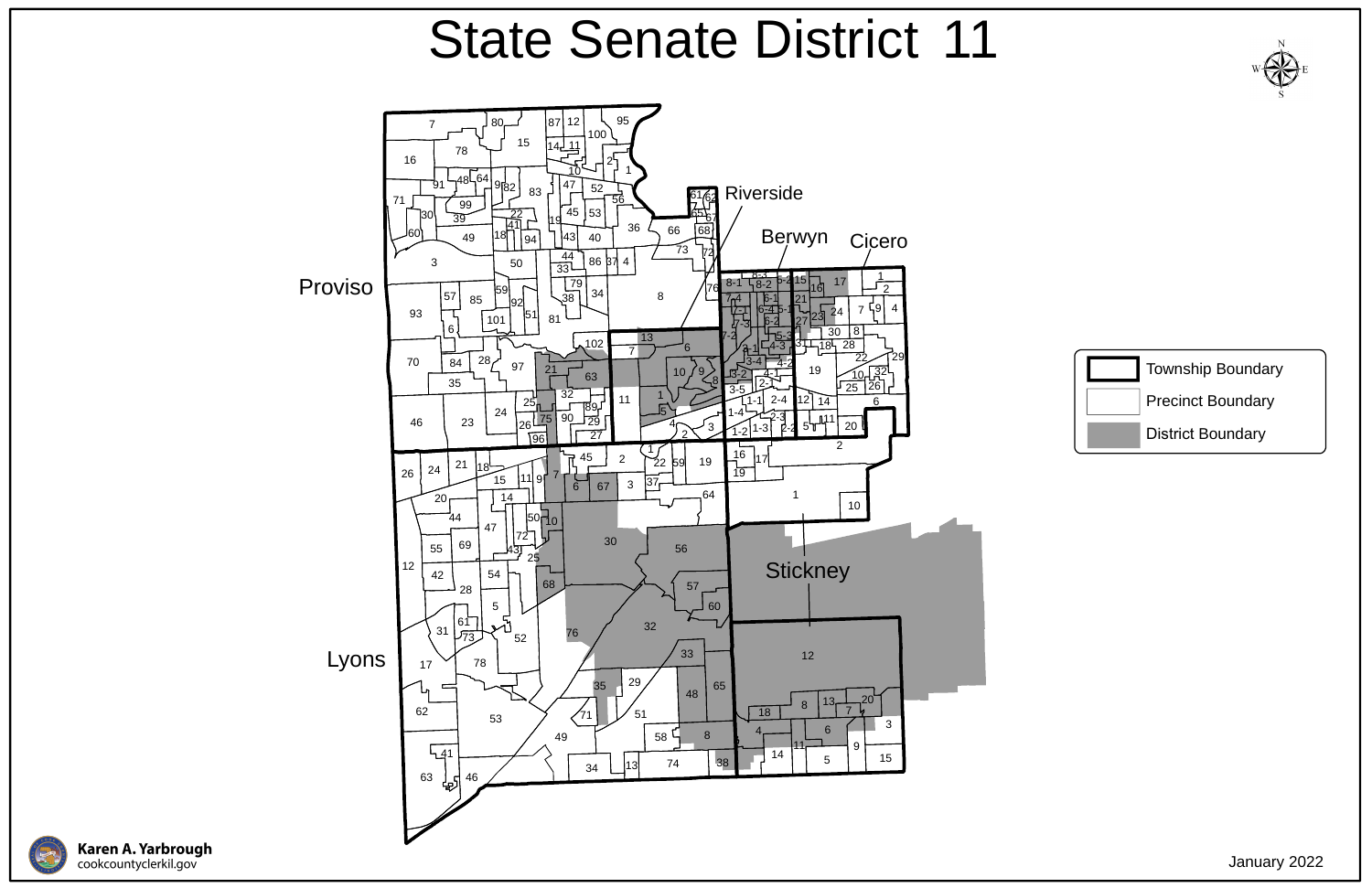





## State Senate District 11

January 2022